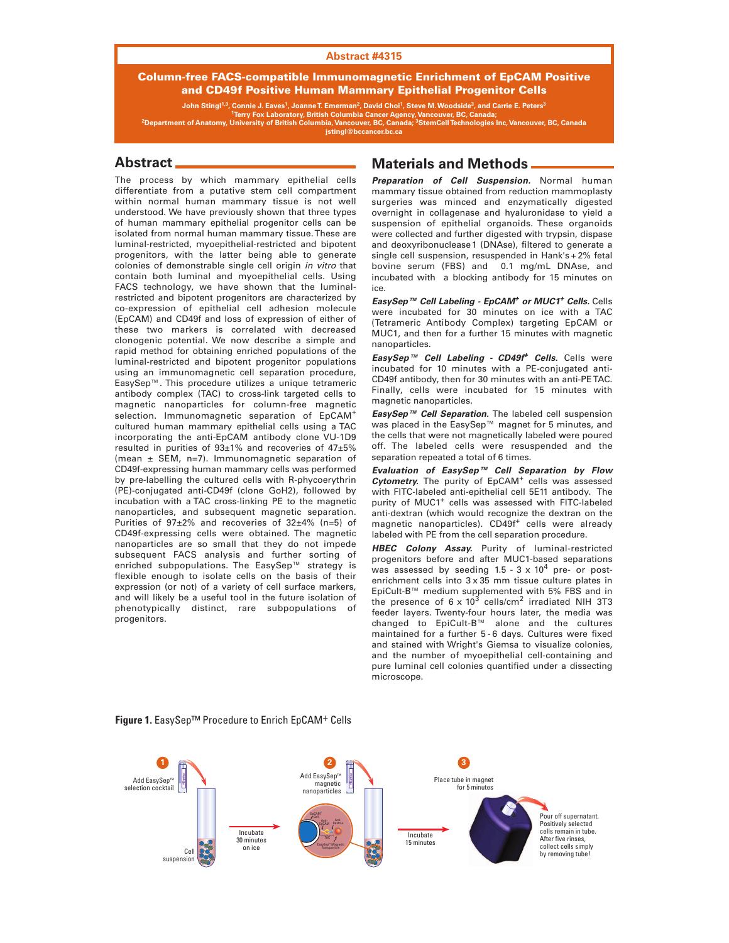#### **Abstract #4315**

### **Column-free FACS-compatible Immunomagnetic Enrichment of EpCAM Positive and CD49f Positive Human Mammary Epithelial Progenitor Cells**

John Stingl<sup>1,3</sup>, Connie J. Eaves<sup>1</sup>, Joanne T. Emerman<sup>2</sup>, David Choi<sup>1</sup>, Steve M. Woodside<sup>3</sup>, and Carrie E. Peters<sup>3</sup> <sup>2</sup>Department of Anatomy, Terry Fox Laboratory, British Columbia Cancer Agency, Vancouver, BC, Canada;<br>Pepartment of Anatomy, University of British Columbia, Vancouver, BC, Canada; <sup>3</sup>StemCell Technologies Inc, Vancouver,

### **Abstract**

The process by which mammary epithelial cells differentiate from a putative stem cell compartment within normal human mammary tissue is not well understood. We have previously shown that three types of human mammary epithelial progenitor cells can be isolated from normal human mammary tissue. These are luminal-restricted, myoepithelial-restricted and bipotent progenitors, with the latter being able to generate colonies of demonstrable single cell origin in vitro that contain both luminal and myoepithelial cells. Using FACS technology, we have shown that the luminalrestricted and bipotent progenitors are characterized by co-expression of epithelial cell adhesion molecule (EpCAM) and CD49f and loss of expression of either of these two markers is correlated with decreased clonogenic potential. We now describe a simple and rapid method for obtaining enriched populations of the luminal-restricted and bipotent progenitor populations using an immunomagnetic cell separation procedure, EasySep™. This procedure utilizes a unique tetrameric antibody complex (TAC) to cross-link targeted cells to magnetic nanoparticles for column-free magnetic selection. Immunomagnetic separation of EpCAM<sup>+</sup> cultured human mammary epithelial cells using a TAC incorporating the anti-EpCAM antibody clone VU-1D9 resulted in purities of 93±1% and recoveries of 47±5% (mean ± SEM, n=7). Immunomagnetic separation of CD49f-expressing human mammary cells was performed by pre-labelling the cultured cells with R-phycoerythrin (PE)-conjugated anti-CD49f (clone GoH2), followed by incubation with a TAC cross-linking PE to the magnetic nanoparticles, and subsequent magnetic separation. Purities of 97±2% and recoveries of 32±4% (n=5) of CD49f-expressing cells were obtained. The magnetic nanoparticles are so small that they do not impede subsequent FACS analysis and further sorting of enriched subpopulations. The EasySep™ strategy is flexible enough to isolate cells on the basis of their expression (or not) of a variety of cell surface markers, and will likely be a useful tool in the future isolation of phenotypically distinct, rare subpopulations of progenitors.

## **Materials and Methods**

*Preparation of Cell Suspension.* Normal human mammary tissue obtained from reduction mammoplasty surgeries was minced and enzymatically digested overnight in collagenase and hyaluronidase to yield a suspension of epithelial organoids. These organoids were collected and further digested with trypsin, dispase and deoxyribonuclease 1 (DNAse), filtered to generate a single cell suspension, resuspended in Hank's + 2% fetal bovine serum (FBS) and 0.1 mg/mL DNAse, and incubated with a blocking antibody for 15 minutes on ice.

*EasySep™ Cell Labeling - EpCAM+ or MUC1+ Cells.* Cells were incubated for 30 minutes on ice with a TAC (Tetrameric Antibody Complex) targeting EpCAM or MUC1, and then for a further 15 minutes with magnetic nanoparticles.

*EasySep™ Cell Labeling - CD49f<sup>+</sup> Cells.* Cells were incubated for 10 minutes with a PE-conjugated anti-CD49f antibody, then for 30 minutes with an anti-PE TAC. Finally, cells were incubated for 15 minutes with magnetic nanoparticles.

*EasySep™ Cell Separation.* The labeled cell suspension was placed in the EasySep™ magnet for 5 minutes, and the cells that were not magnetically labeled were poured off. The labeled cells were resuspended and the separation repeated a total of 6 times.

*Evaluation of EasySep™ Cell Separation by Flow* **Cytometry.** The purity of EpCAM<sup>+</sup> cells was assessed with FITC-labeled anti-epithelial cell 5E11 antibody. The purity of MUC1<sup>+</sup> cells was assessed with FITC-labeled anti-dextran (which would recognize the dextran on the magnetic nanoparticles). CD49f<sup>+</sup> cells were already labeled with PE from the cell separation procedure.

*HBEC Colony Assay.* Purity of luminal-restricted progenitors before and after MUC1-based separations was assessed by seeding  $1.5 - 3 \times 10^4$  pre- or postenrichment cells into 3 x 35 mm tissue culture plates in EpiCult-B™ medium supplemented with 5% FBS and in<br>the presence of 6 x 10<sup>3</sup> cells/cm<sup>2</sup> irradiated NIH 3T3 feeder layers. Twenty-four hours later, the media was changed to EpiCult-B™ alone and the cultures maintained for a further 5 - 6 days. Cultures were fixed and stained with Wright's Giemsa to visualize colonies, and the number of myoepithelial cell-containing and pure luminal cell colonies quantified under a dissecting microscope.



### **Figure 1.** EasySep™ Procedure to Enrich EpCAM+ Cells